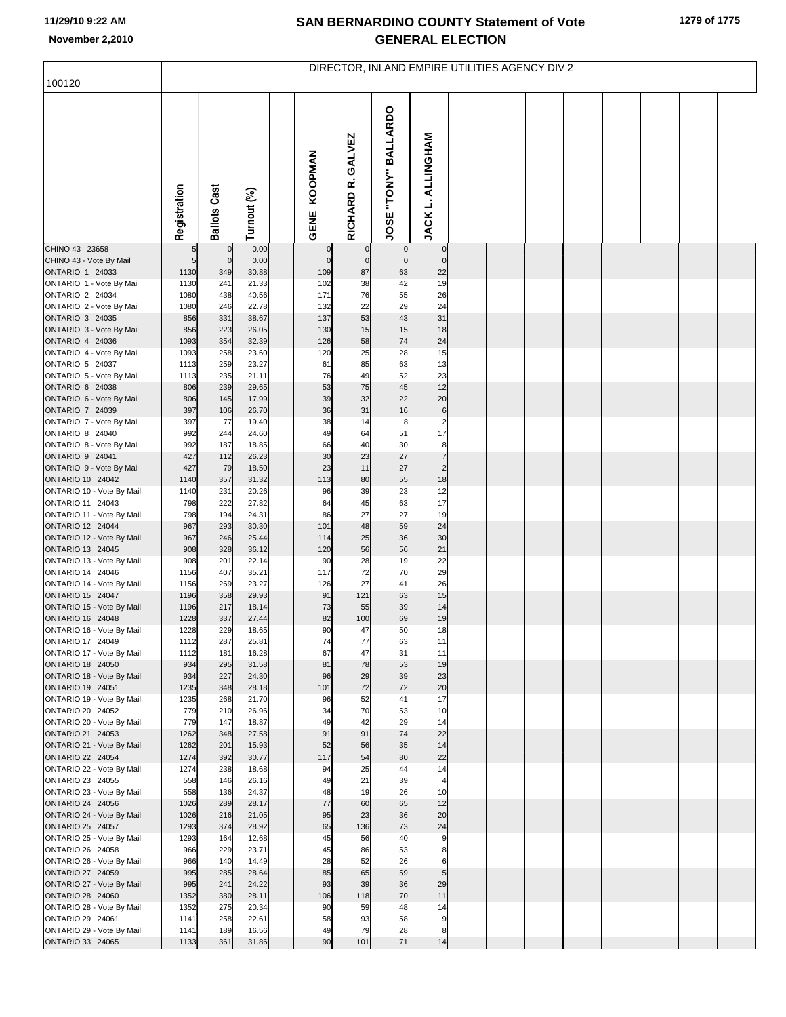## **SAN BERNARDINO COUNTY Statement of Vote November 2,2010 GENERAL ELECTION**

| 100120                                               | DIRECTOR, INLAND EMPIRE UTILITIES AGENCY DIV 2 |                     |                |  |                 |                      |                      |                               |  |  |  |  |  |  |  |
|------------------------------------------------------|------------------------------------------------|---------------------|----------------|--|-----------------|----------------------|----------------------|-------------------------------|--|--|--|--|--|--|--|
|                                                      |                                                |                     |                |  |                 |                      |                      |                               |  |  |  |  |  |  |  |
|                                                      | Registration                                   | <b>Ballots Cast</b> | Turnout (%)    |  | KOOPMAN<br>GENE | GALVEZ<br>RICHARD R. | JOSE "TONY" BALLARDO | <b>JACK L. ALLINGHAM</b>      |  |  |  |  |  |  |  |
| CHINO 43 23658                                       |                                                | $\mathbf 0$         | 0.00           |  |                 | $\mathbf 0$          | $\mathbf 0$          | $\mathbf 0$                   |  |  |  |  |  |  |  |
| CHINO 43 - Vote By Mail<br>ONTARIO 1 24033           | 5                                              | $\circ$             | 0.00           |  | $\mathcal{C}$   | $\mathbf 0$<br>87    | $\mathbf 0$          | $\mathbf 0$                   |  |  |  |  |  |  |  |
| ONTARIO 1 - Vote By Mail                             | 1130<br>1130                                   | 349<br>241          | 30.88<br>21.33 |  | 109<br>102      | 38                   | 63<br>42             | 22<br>19                      |  |  |  |  |  |  |  |
| ONTARIO 2 24034                                      | 1080                                           | 438                 | 40.56          |  | 171             | 76                   | 55                   | 26                            |  |  |  |  |  |  |  |
| ONTARIO 2 - Vote By Mail                             | 1080                                           | 246                 | 22.78          |  | 132             | 22                   | 29                   | 24                            |  |  |  |  |  |  |  |
| ONTARIO 3 24035                                      | 856                                            | 331                 | 38.67          |  | 137             | 53                   | 43                   | 31                            |  |  |  |  |  |  |  |
| ONTARIO 3 - Vote By Mail                             | 856                                            | 223                 | 26.05          |  | 130             | 15                   | 15                   | 18                            |  |  |  |  |  |  |  |
| ONTARIO 4 24036<br>ONTARIO 4 - Vote By Mail          | 1093<br>1093                                   | 354<br>258          | 32.39<br>23.60 |  | 126<br>120      | 58<br>25             | 74<br>28             | 24<br>15                      |  |  |  |  |  |  |  |
| ONTARIO 5 24037                                      | 1113                                           | 259                 | 23.27          |  | 61              | 85                   | 63                   | 13                            |  |  |  |  |  |  |  |
| ONTARIO 5 - Vote By Mail                             | 1113                                           | 235                 | 21.11          |  | 76              | 49                   | 52                   | 23                            |  |  |  |  |  |  |  |
| ONTARIO 6 24038                                      | 806                                            | 239                 | 29.65          |  | 53              | 75                   | 45                   | 12                            |  |  |  |  |  |  |  |
| ONTARIO 6 - Vote By Mail                             | 806                                            | 145                 | 17.99          |  | 39              | 32                   | 22                   | 20                            |  |  |  |  |  |  |  |
| ONTARIO 7 24039                                      | 397                                            | 106                 | 26.70          |  | 36              | 31                   | 16                   | $\,6$                         |  |  |  |  |  |  |  |
| ONTARIO 7 - Vote By Mail<br>ONTARIO 8 24040          | 397<br>992                                     | 77<br>244           | 19.40<br>24.60 |  | 38<br>49        | 14<br>64             | 8<br>51              | $\overline{\mathbf{c}}$<br>17 |  |  |  |  |  |  |  |
| ONTARIO 8 - Vote By Mail                             | 992                                            | 187                 | 18.85          |  | 66              | 40                   | 30                   | 8                             |  |  |  |  |  |  |  |
| ONTARIO 9 24041                                      | 427                                            | 112                 | 26.23          |  | 30              | 23                   | 27                   | $\overline{7}$                |  |  |  |  |  |  |  |
| ONTARIO 9 - Vote By Mail                             | 427                                            | 79                  | 18.50          |  | 23              | 11                   | 27                   | $\overline{2}$                |  |  |  |  |  |  |  |
| ONTARIO 10 24042                                     | 1140                                           | 357                 | 31.32          |  | 113             | 80                   | 55                   | 18                            |  |  |  |  |  |  |  |
| ONTARIO 10 - Vote By Mail<br>ONTARIO 11 24043        | 1140<br>798                                    | 231<br>222          | 20.26<br>27.82 |  | 96<br>64        | 39<br>45             | 23<br>63             | 12<br>17                      |  |  |  |  |  |  |  |
| ONTARIO 11 - Vote By Mail                            | 798                                            | 194                 | 24.31          |  | 86              | 27                   | 27                   | 19                            |  |  |  |  |  |  |  |
| <b>ONTARIO 12 24044</b>                              | 967                                            | 293                 | 30.30          |  | 101             | 48                   | 59                   | 24                            |  |  |  |  |  |  |  |
| ONTARIO 12 - Vote By Mail                            | 967                                            | 246                 | 25.44          |  | 114             | 25                   | 36                   | 30                            |  |  |  |  |  |  |  |
| ONTARIO 13 24045<br>ONTARIO 13 - Vote By Mail        | 908<br>908                                     | 328<br>201          | 36.12<br>22.14 |  | 120<br>90       | 56<br>28             | 56<br>19             | 21<br>22                      |  |  |  |  |  |  |  |
| ONTARIO 14 24046                                     | 1156                                           | 407                 | 35.21          |  | 117             | 72                   | 70                   | 29                            |  |  |  |  |  |  |  |
| ONTARIO 14 - Vote By Mail                            | 1156                                           | 269                 | 23.27          |  | 126             | 27                   | 41                   | 26                            |  |  |  |  |  |  |  |
| ONTARIO 15 24047                                     | 1196                                           | 358                 | 29.93          |  | 91              | 121                  | 63                   | 15                            |  |  |  |  |  |  |  |
| ONTARIO 15 - Vote By Mail                            | 1196                                           | 217                 | 18.14          |  | 73              | 55                   | 39                   | 14                            |  |  |  |  |  |  |  |
| <b>ONTARIO 16 24048</b><br>ONTARIO 16 - Vote By Mail | 1228<br>1228                                   | 337<br>229          | 27.44<br>18.65 |  | 82<br>90        | 100<br>47            | 69<br>50             | 19<br>18                      |  |  |  |  |  |  |  |
| ONTARIO 17 24049                                     | 1112                                           | 287                 | 25.81          |  | 74              | 77                   | 63                   | 11                            |  |  |  |  |  |  |  |
| ONTARIO 17 - Vote By Mail                            | 1112                                           | 181                 | 16.28          |  | 67              | 47                   | 31                   | 11                            |  |  |  |  |  |  |  |
| ONTARIO 18 24050                                     | 934                                            | 295                 | 31.58          |  | 81              | 78                   | 53                   | 19                            |  |  |  |  |  |  |  |
| ONTARIO 18 - Vote By Mail<br>ONTARIO 19 24051        | 934<br>1235                                    | 227<br>348          | 24.30<br>28.18 |  | 96<br>101       | 29<br>72             | 39<br>72             | 23<br>20                      |  |  |  |  |  |  |  |
| ONTARIO 19 - Vote By Mail                            | 1235                                           | 268                 | 21.70          |  | 96              | 52                   | 41                   | 17                            |  |  |  |  |  |  |  |
| ONTARIO 20 24052                                     | 779                                            | 210                 | 26.96          |  | 34              | 70                   | 53                   | 10                            |  |  |  |  |  |  |  |
| ONTARIO 20 - Vote By Mail                            | 779                                            | 147                 | 18.87          |  | 49              | 42                   | 29                   | 14                            |  |  |  |  |  |  |  |
| ONTARIO 21 24053                                     | 1262                                           | 348<br>201          | 27.58<br>15.93 |  | 91<br>52        | 91<br>56             | 74<br>35             | 22                            |  |  |  |  |  |  |  |
| ONTARIO 21 - Vote By Mail<br>ONTARIO 22 24054        | 1262<br>1274                                   | 392                 | 30.77          |  | 117             | 54                   | 80                   | 14<br>22                      |  |  |  |  |  |  |  |
| ONTARIO 22 - Vote By Mail                            | 1274                                           | 238                 | 18.68          |  | 94              | 25                   | 44                   | 14                            |  |  |  |  |  |  |  |
| ONTARIO 23 24055                                     | 558                                            | 146                 | 26.16          |  | 49              | 21                   | 39                   | $\overline{4}$                |  |  |  |  |  |  |  |
| ONTARIO 23 - Vote By Mail                            | 558                                            | 136                 | 24.37          |  | 48              | 19                   | 26                   | 10                            |  |  |  |  |  |  |  |
| ONTARIO 24 24056                                     | 1026                                           | 289                 | 28.17          |  | 77<br>95        | 60                   | 65<br>36             | 12<br>20                      |  |  |  |  |  |  |  |
| ONTARIO 24 - Vote By Mail<br>ONTARIO 25 24057        | 1026<br>1293                                   | 216<br>374          | 21.05<br>28.92 |  | 65              | 23<br>136            | 73                   | 24                            |  |  |  |  |  |  |  |
| ONTARIO 25 - Vote By Mail                            | 1293                                           | 164                 | 12.68          |  | 45              | 56                   | 40                   | 9                             |  |  |  |  |  |  |  |
| ONTARIO 26 24058                                     | 966                                            | 229                 | 23.71          |  | 45              | 86                   | 53                   | 8                             |  |  |  |  |  |  |  |
| ONTARIO 26 - Vote By Mail                            | 966                                            | 140                 | 14.49          |  | 28              | 52                   | 26                   | 6                             |  |  |  |  |  |  |  |
| ONTARIO 27 24059<br>ONTARIO 27 - Vote By Mail        | 995<br>995                                     | 285<br>241          | 28.64<br>24.22 |  | 85<br>93        | 65<br>39             | 59<br>36             | 5<br>29                       |  |  |  |  |  |  |  |
| ONTARIO 28 24060                                     | 1352                                           | 380                 | 28.11          |  | 106             | 118                  | 70                   | 11                            |  |  |  |  |  |  |  |
| ONTARIO 28 - Vote By Mail                            | 1352                                           | 275                 | 20.34          |  | 90              | 59                   | 48                   | 14                            |  |  |  |  |  |  |  |
| ONTARIO 29 24061                                     | 1141                                           | 258                 | 22.61          |  | 58              | 93                   | 58                   | 9                             |  |  |  |  |  |  |  |
| ONTARIO 29 - Vote By Mail                            | 1141                                           | 189                 | 16.56          |  | 49              | 79                   | 28                   | 8                             |  |  |  |  |  |  |  |
| ONTARIO 33 24065                                     | 1133                                           | 361                 | 31.86          |  | 90              | 101                  | 71                   | 14                            |  |  |  |  |  |  |  |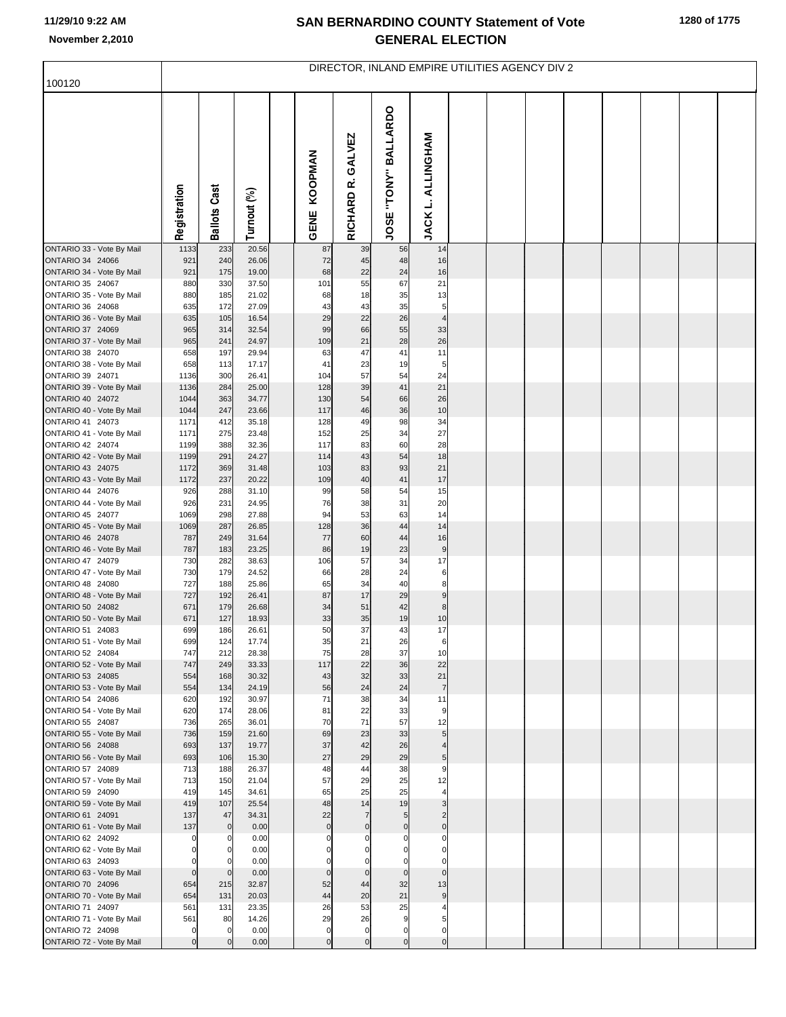ı,

## **SAN BERNARDINO COUNTY Statement of Vote November 2,2010 GENERAL ELECTION**

| 100120                                                                                                                                                                                                                                                                                             | DIRECTOR, INLAND EMPIRE UTILITIES AGENCY DIV 2                                         |                                                                    |                                                                                              |  |                                                                            |                                                                   |                                                                           |                                                                      |  |  |  |  |  |  |  |
|----------------------------------------------------------------------------------------------------------------------------------------------------------------------------------------------------------------------------------------------------------------------------------------------------|----------------------------------------------------------------------------------------|--------------------------------------------------------------------|----------------------------------------------------------------------------------------------|--|----------------------------------------------------------------------------|-------------------------------------------------------------------|---------------------------------------------------------------------------|----------------------------------------------------------------------|--|--|--|--|--|--|--|
|                                                                                                                                                                                                                                                                                                    |                                                                                        |                                                                    |                                                                                              |  |                                                                            |                                                                   |                                                                           |                                                                      |  |  |  |  |  |  |  |
|                                                                                                                                                                                                                                                                                                    | Registration                                                                           | <b>Ballots Cast</b>                                                | Turnout (%)                                                                                  |  | KOOPMAN<br><b>GENE</b>                                                     | GALVEZ<br>RICHARD R.                                              | "TONY" BALLARDO<br>JOSE <sup>-1</sup>                                     | <b>ALLINGHAM</b><br>JACK L.                                          |  |  |  |  |  |  |  |
| ONTARIO 33 - Vote By Mail                                                                                                                                                                                                                                                                          | 1133                                                                                   | 233                                                                | 20.56                                                                                        |  | 87                                                                         | 39                                                                | 56                                                                        | 14<br>16                                                             |  |  |  |  |  |  |  |
| ONTARIO 34 24066<br>ONTARIO 34 - Vote By Mail                                                                                                                                                                                                                                                      | 921<br>921                                                                             | 240<br>175                                                         | 26.06<br>19.00                                                                               |  | 72<br>68                                                                   | 45<br>22                                                          | 48<br>24                                                                  | 16                                                                   |  |  |  |  |  |  |  |
| ONTARIO 35 24067                                                                                                                                                                                                                                                                                   | 880                                                                                    | 330                                                                | 37.50                                                                                        |  | 101                                                                        | 55                                                                | 67                                                                        | 21                                                                   |  |  |  |  |  |  |  |
| ONTARIO 35 - Vote By Mail                                                                                                                                                                                                                                                                          | 880                                                                                    | 185                                                                | 21.02                                                                                        |  | 68                                                                         | 18                                                                | 35                                                                        | 13                                                                   |  |  |  |  |  |  |  |
| ONTARIO 36 24068                                                                                                                                                                                                                                                                                   | 635                                                                                    | 172                                                                | 27.09                                                                                        |  | 43                                                                         | 43                                                                | 35                                                                        | 5                                                                    |  |  |  |  |  |  |  |
| ONTARIO 36 - Vote By Mail<br>ONTARIO 37 24069                                                                                                                                                                                                                                                      | 635<br>965                                                                             | 105<br>314                                                         | 16.54<br>32.54                                                                               |  | 29<br>99                                                                   | 22<br>66                                                          | 26<br>55                                                                  | $\overline{4}$<br>33                                                 |  |  |  |  |  |  |  |
| ONTARIO 37 - Vote By Mail                                                                                                                                                                                                                                                                          | 965                                                                                    | 241                                                                | 24.97                                                                                        |  | 109                                                                        | 21                                                                | 28                                                                        | 26                                                                   |  |  |  |  |  |  |  |
| ONTARIO 38 24070                                                                                                                                                                                                                                                                                   | 658                                                                                    | 197                                                                | 29.94                                                                                        |  | 63                                                                         | 47                                                                | 41                                                                        | 11                                                                   |  |  |  |  |  |  |  |
| ONTARIO 38 - Vote By Mail                                                                                                                                                                                                                                                                          | 658                                                                                    | 113                                                                | 17.17                                                                                        |  | 41                                                                         | 23                                                                | 19                                                                        | 5                                                                    |  |  |  |  |  |  |  |
| ONTARIO 39 24071<br>ONTARIO 39 - Vote By Mail                                                                                                                                                                                                                                                      | 1136<br>1136                                                                           | 300<br>284                                                         | 26.41<br>25.00                                                                               |  | 104<br>128                                                                 | 57<br>39                                                          | 54<br>41                                                                  | 24<br>21                                                             |  |  |  |  |  |  |  |
| ONTARIO 40 24072                                                                                                                                                                                                                                                                                   | 1044                                                                                   | 363                                                                | 34.77                                                                                        |  | 130                                                                        | 54                                                                | 66                                                                        | 26                                                                   |  |  |  |  |  |  |  |
| ONTARIO 40 - Vote By Mail                                                                                                                                                                                                                                                                          | 1044                                                                                   | 247                                                                | 23.66                                                                                        |  | 117                                                                        | 46                                                                | 36                                                                        | 10                                                                   |  |  |  |  |  |  |  |
| ONTARIO 41 24073                                                                                                                                                                                                                                                                                   | 1171                                                                                   | 412                                                                | 35.18                                                                                        |  | 128                                                                        | 49                                                                | 98                                                                        | 34                                                                   |  |  |  |  |  |  |  |
| ONTARIO 41 - Vote By Mail<br>ONTARIO 42 24074                                                                                                                                                                                                                                                      | 1171<br>1199                                                                           | 275<br>388                                                         | 23.48<br>32.36                                                                               |  | 152<br>117                                                                 | 25<br>83                                                          | 34<br>60                                                                  | 27<br>28                                                             |  |  |  |  |  |  |  |
| ONTARIO 42 - Vote By Mail                                                                                                                                                                                                                                                                          | 1199                                                                                   | 291                                                                | 24.27                                                                                        |  | 114                                                                        | 43                                                                | 54                                                                        | 18                                                                   |  |  |  |  |  |  |  |
| ONTARIO 43 24075                                                                                                                                                                                                                                                                                   | 1172                                                                                   | 369                                                                | 31.48                                                                                        |  | 103                                                                        | 83                                                                | 93                                                                        | 21                                                                   |  |  |  |  |  |  |  |
| ONTARIO 43 - Vote By Mail                                                                                                                                                                                                                                                                          | 1172                                                                                   | 237                                                                | 20.22                                                                                        |  | 109                                                                        | 40                                                                | 41                                                                        | 17                                                                   |  |  |  |  |  |  |  |
| ONTARIO 44 24076<br>ONTARIO 44 - Vote By Mail                                                                                                                                                                                                                                                      | 926<br>926                                                                             | 288<br>231                                                         | 31.10<br>24.95                                                                               |  | 99<br>76                                                                   | 58<br>38                                                          | 54<br>31                                                                  | 15<br>20                                                             |  |  |  |  |  |  |  |
| ONTARIO 45 24077                                                                                                                                                                                                                                                                                   | 1069                                                                                   | 298                                                                | 27.88                                                                                        |  | 94                                                                         | 53                                                                | 63                                                                        | 14                                                                   |  |  |  |  |  |  |  |
| ONTARIO 45 - Vote By Mail                                                                                                                                                                                                                                                                          | 1069                                                                                   | 287                                                                | 26.85                                                                                        |  | 128                                                                        | 36                                                                | 44                                                                        | 14                                                                   |  |  |  |  |  |  |  |
| ONTARIO 46 24078                                                                                                                                                                                                                                                                                   | 787<br>787                                                                             | 249                                                                | 31.64<br>23.25                                                                               |  | 77<br>86                                                                   | 60<br>19                                                          | 44<br>23                                                                  | 16<br>$9\,$                                                          |  |  |  |  |  |  |  |
| ONTARIO 46 - Vote By Mail<br>ONTARIO 47 24079                                                                                                                                                                                                                                                      | 730                                                                                    | 183<br>282                                                         | 38.63                                                                                        |  | 106                                                                        | 57                                                                | 34                                                                        | 17                                                                   |  |  |  |  |  |  |  |
| ONTARIO 47 - Vote By Mail                                                                                                                                                                                                                                                                          | 730                                                                                    | 179                                                                | 24.52                                                                                        |  | 66                                                                         | 28                                                                | 24                                                                        | 6                                                                    |  |  |  |  |  |  |  |
| ONTARIO 48 24080                                                                                                                                                                                                                                                                                   | 727                                                                                    | 188                                                                | 25.86                                                                                        |  | 65                                                                         | 34                                                                | 40                                                                        | 8                                                                    |  |  |  |  |  |  |  |
| ONTARIO 48 - Vote By Mail<br>ONTARIO 50 24082                                                                                                                                                                                                                                                      | 727<br>671                                                                             | 192<br>179                                                         | 26.41<br>26.68                                                                               |  | 87<br>34                                                                   | 17<br>51                                                          | 29<br>42                                                                  | $\boldsymbol{9}$<br>8                                                |  |  |  |  |  |  |  |
| ONTARIO 50 - Vote By Mail                                                                                                                                                                                                                                                                          | 671                                                                                    | 127                                                                | 18.93                                                                                        |  | 33                                                                         | 35                                                                | 19                                                                        | 10                                                                   |  |  |  |  |  |  |  |
| ONTARIO 51 24083                                                                                                                                                                                                                                                                                   | 699                                                                                    | 186                                                                | 26.61                                                                                        |  | 50                                                                         | 37                                                                | 43                                                                        | 17                                                                   |  |  |  |  |  |  |  |
| ONTARIO 51 - Vote By Mail                                                                                                                                                                                                                                                                          | 699                                                                                    | 124                                                                | 17.74                                                                                        |  | 35                                                                         | 21                                                                | 26                                                                        |                                                                      |  |  |  |  |  |  |  |
| ONTARIO 52 24084<br>ONTARIO 52 - Vote By Mail                                                                                                                                                                                                                                                      | 747<br>747                                                                             | 212<br>249                                                         | 28.38<br>33.33                                                                               |  | 75<br>117                                                                  | 28<br>22                                                          | 37<br>36                                                                  | 10<br>22                                                             |  |  |  |  |  |  |  |
| ONTARIO 53 24085                                                                                                                                                                                                                                                                                   | 554                                                                                    | 168                                                                | 30.32                                                                                        |  | 43                                                                         | 32                                                                | 33                                                                        | 21                                                                   |  |  |  |  |  |  |  |
| ONTARIO 53 - Vote By Mail                                                                                                                                                                                                                                                                          | 554                                                                                    | 134                                                                | 24.19                                                                                        |  | 56                                                                         | 24                                                                | 24                                                                        | $\overline{7}$                                                       |  |  |  |  |  |  |  |
|                                                                                                                                                                                                                                                                                                    |                                                                                        |                                                                    |                                                                                              |  |                                                                            |                                                                   |                                                                           |                                                                      |  |  |  |  |  |  |  |
|                                                                                                                                                                                                                                                                                                    |                                                                                        |                                                                    |                                                                                              |  |                                                                            |                                                                   |                                                                           |                                                                      |  |  |  |  |  |  |  |
| ONTARIO 55 - Vote By Mail                                                                                                                                                                                                                                                                          | 736                                                                                    | 159                                                                | 21.60                                                                                        |  | 69                                                                         | 23                                                                | 33                                                                        | 5                                                                    |  |  |  |  |  |  |  |
| ONTARIO 56 24088                                                                                                                                                                                                                                                                                   | 693                                                                                    | 137                                                                | 19.77                                                                                        |  | 37                                                                         | 42                                                                | 26                                                                        |                                                                      |  |  |  |  |  |  |  |
|                                                                                                                                                                                                                                                                                                    |                                                                                        |                                                                    |                                                                                              |  |                                                                            |                                                                   |                                                                           |                                                                      |  |  |  |  |  |  |  |
|                                                                                                                                                                                                                                                                                                    |                                                                                        |                                                                    |                                                                                              |  |                                                                            |                                                                   |                                                                           |                                                                      |  |  |  |  |  |  |  |
| ONTARIO 59 24090                                                                                                                                                                                                                                                                                   | 419                                                                                    | 145                                                                | 34.61                                                                                        |  | 65                                                                         | 25                                                                | 25                                                                        |                                                                      |  |  |  |  |  |  |  |
| ONTARIO 59 - Vote By Mail                                                                                                                                                                                                                                                                          | 419                                                                                    | 107                                                                | 25.54                                                                                        |  | 48                                                                         | 14                                                                | 19                                                                        | 3                                                                    |  |  |  |  |  |  |  |
|                                                                                                                                                                                                                                                                                                    |                                                                                        |                                                                    |                                                                                              |  |                                                                            |                                                                   |                                                                           |                                                                      |  |  |  |  |  |  |  |
| ONTARIO 62 24092                                                                                                                                                                                                                                                                                   | $\Omega$                                                                               |                                                                    | 0.00                                                                                         |  |                                                                            |                                                                   |                                                                           |                                                                      |  |  |  |  |  |  |  |
| ONTARIO 62 - Vote By Mail                                                                                                                                                                                                                                                                          |                                                                                        |                                                                    | 0.00                                                                                         |  |                                                                            |                                                                   |                                                                           |                                                                      |  |  |  |  |  |  |  |
| ONTARIO 63 24093                                                                                                                                                                                                                                                                                   |                                                                                        |                                                                    | 0.00                                                                                         |  |                                                                            |                                                                   |                                                                           |                                                                      |  |  |  |  |  |  |  |
|                                                                                                                                                                                                                                                                                                    |                                                                                        |                                                                    |                                                                                              |  |                                                                            |                                                                   |                                                                           |                                                                      |  |  |  |  |  |  |  |
| ONTARIO 70 - Vote By Mail                                                                                                                                                                                                                                                                          | 654                                                                                    | 131                                                                | 20.03                                                                                        |  | 44                                                                         | 20                                                                | 21                                                                        | 9                                                                    |  |  |  |  |  |  |  |
| ONTARIO 71 24097                                                                                                                                                                                                                                                                                   | 561                                                                                    | 131                                                                | 23.35                                                                                        |  | 26                                                                         | 53                                                                | 25                                                                        |                                                                      |  |  |  |  |  |  |  |
| ONTARIO 71 - Vote By Mail                                                                                                                                                                                                                                                                          | 561                                                                                    | 80                                                                 | 14.26                                                                                        |  | 29                                                                         | 26                                                                | 9                                                                         | 5                                                                    |  |  |  |  |  |  |  |
|                                                                                                                                                                                                                                                                                                    | $\mathbf 0$                                                                            |                                                                    | 0.00                                                                                         |  | $\mathbf 0$                                                                | $\mathbf 0$                                                       | $\overline{0}$                                                            | $\mathbf 0$                                                          |  |  |  |  |  |  |  |
| ONTARIO 54 24086<br>ONTARIO 54 - Vote By Mail<br>ONTARIO 55 24087<br>ONTARIO 56 - Vote By Mail<br>ONTARIO 57 24089<br>ONTARIO 57 - Vote By Mail<br>ONTARIO 61 24091<br>ONTARIO 61 - Vote By Mail<br>ONTARIO 63 - Vote By Mail<br>ONTARIO 70 24096<br>ONTARIO 72 24098<br>ONTARIO 72 - Vote By Mail | 620<br>620<br>736<br>693<br>713<br>713<br>137<br>137<br>$\Omega$<br>654<br>$\mathbf 0$ | 192<br>174<br>265<br>106<br>188<br>150<br>47<br>$\mathbf 0$<br>215 | 30.97<br>28.06<br>36.01<br>15.30<br>26.37<br>21.04<br>34.31<br>0.00<br>0.00<br>32.87<br>0.00 |  | 71<br>81<br>70<br>27<br>48<br>57<br>22<br>$\mathbf 0$<br>52<br>$\mathbf 0$ | 38<br>22<br>71<br>29<br>44<br>29<br>$\Omega$<br>44<br>$\mathbf 0$ | 34<br>33<br>57<br>29<br>38<br>25<br>5<br>$\mathbf 0$<br>32<br>$\mathbf 0$ | 11<br>9<br>12<br>5 <sub>l</sub><br>9<br>12<br>$\mathbf 0$<br>13<br>0 |  |  |  |  |  |  |  |